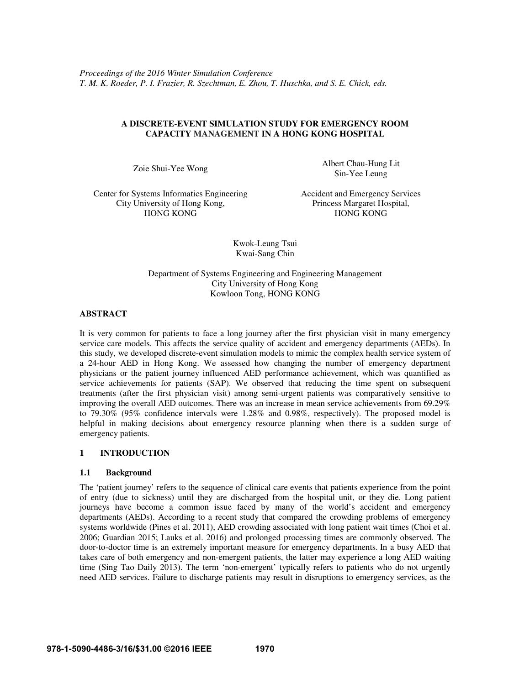# **A DISCRETE-EVENT SIMULATION STUDY FOR EMERGENCY ROOM CAPACITY MANAGEMENT IN A HONG KONG HOSPITAL**

Zoie Shui-Yee Wong Albert Chau-Hung Lit Sin-Yee Leung

Center for Systems Informatics Engineering Accident and Emergency Services City University of Hong Kong, HONG KONG

Princess Margaret Hospital, HONG KONG

Kwok-Leung Tsui Kwai-Sang Chin

Department of Systems Engineering and Engineering Management City University of Hong Kong Kowloon Tong, HONG KONG

# **ABSTRACT**

It is very common for patients to face a long journey after the first physician visit in many emergency service care models. This affects the service quality of accident and emergency departments (AEDs). In this study, we developed discrete-event simulation models to mimic the complex health service system of a 24-hour AED in Hong Kong. We assessed how changing the number of emergency department physicians or the patient journey influenced AED performance achievement, which was quantified as service achievements for patients (SAP). We observed that reducing the time spent on subsequent treatments (after the first physician visit) among semi-urgent patients was comparatively sensitive to improving the overall AED outcomes. There was an increase in mean service achievements from 69.29% to 79.30% (95% confidence intervals were 1.28% and 0.98%, respectively). The proposed model is helpful in making decisions about emergency resource planning when there is a sudden surge of emergency patients.

# **1 INTRODUCTION**

### **1.1 Background**

The 'patient journey' refers to the sequence of clinical care events that patients experience from the point of entry (due to sickness) until they are discharged from the hospital unit, or they die. Long patient journeys have become a common issue faced by many of the world's accident and emergency departments (AEDs). According to a recent study that compared the crowding problems of emergency systems worldwide (Pines et al. 2011), AED crowding associated with long patient wait times (Choi et al. 2006; Guardian 2015; Lauks et al. 2016) and prolonged processing times are commonly observed. The door-to-doctor time is an extremely important measure for emergency departments. In a busy AED that takes care of both emergency and non-emergent patients, the latter may experience a long AED waiting time (Sing Tao Daily 2013). The term 'non-emergent' typically refers to patients who do not urgently need AED services. Failure to discharge patients may result in disruptions to emergency services, as the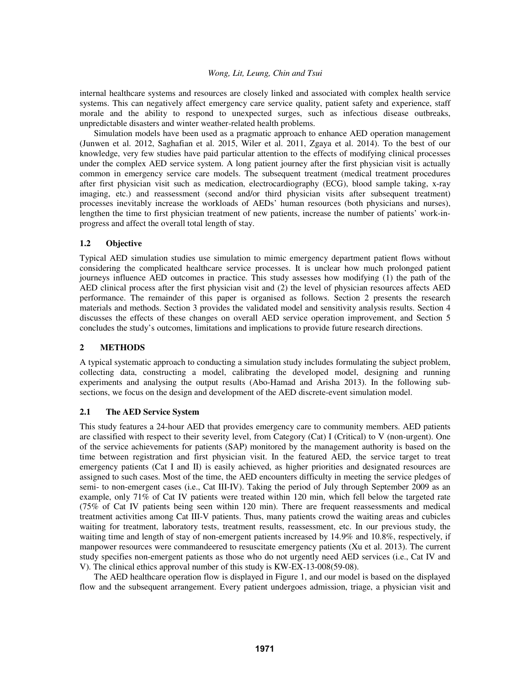internal healthcare systems and resources are closely linked and associated with complex health service systems. This can negatively affect emergency care service quality, patient safety and experience, staff morale and the ability to respond to unexpected surges, such as infectious disease outbreaks, unpredictable disasters and winter weather-related health problems.

 Simulation models have been used as a pragmatic approach to enhance AED operation management (Junwen et al. 2012, Saghafian et al. 2015, Wiler et al. 2011, Zgaya et al. 2014). To the best of our knowledge, very few studies have paid particular attention to the effects of modifying clinical processes under the complex AED service system. A long patient journey after the first physician visit is actually common in emergency service care models. The subsequent treatment (medical treatment procedures after first physician visit such as medication, electrocardiography (ECG), blood sample taking, x-ray imaging, etc.) and reassessment (second and/or third physician visits after subsequent treatment) processes inevitably increase the workloads of AEDs' human resources (both physicians and nurses), lengthen the time to first physician treatment of new patients, increase the number of patients' work-inprogress and affect the overall total length of stay.

## **1.2 Objective**

Typical AED simulation studies use simulation to mimic emergency department patient flows without considering the complicated healthcare service processes. It is unclear how much prolonged patient journeys influence AED outcomes in practice. This study assesses how modifying (1) the path of the AED clinical process after the first physician visit and (2) the level of physician resources affects AED performance. The remainder of this paper is organised as follows. Section 2 presents the research materials and methods. Section 3 provides the validated model and sensitivity analysis results. Section 4 discusses the effects of these changes on overall AED service operation improvement, and Section 5 concludes the study's outcomes, limitations and implications to provide future research directions.

### **2 METHODS**

A typical systematic approach to conducting a simulation study includes formulating the subject problem, collecting data, constructing a model, calibrating the developed model, designing and running experiments and analysing the output results (Abo-Hamad and Arisha 2013). In the following subsections, we focus on the design and development of the AED discrete-event simulation model.

### **2.1 The AED Service System**

This study features a 24-hour AED that provides emergency care to community members. AED patients are classified with respect to their severity level, from Category (Cat) I (Critical) to V (non-urgent). One of the service achievements for patients (SAP) monitored by the management authority is based on the time between registration and first physician visit. In the featured AED, the service target to treat emergency patients (Cat I and II) is easily achieved, as higher priorities and designated resources are assigned to such cases. Most of the time, the AED encounters difficulty in meeting the service pledges of semi- to non-emergent cases (i.e., Cat III-IV). Taking the period of July through September 2009 as an example, only 71% of Cat IV patients were treated within 120 min, which fell below the targeted rate (75% of Cat IV patients being seen within 120 min). There are frequent reassessments and medical treatment activities among Cat III-V patients. Thus, many patients crowd the waiting areas and cubicles waiting for treatment, laboratory tests, treatment results, reassessment, etc. In our previous study, the waiting time and length of stay of non-emergent patients increased by 14.9% and 10.8%, respectively, if manpower resources were commandeered to resuscitate emergency patients (Xu et al. 2013). The current study specifies non-emergent patients as those who do not urgently need AED services (i.e., Cat IV and V). The clinical ethics approval number of this study is KW-EX-13-008(59-08).

 The AED healthcare operation flow is displayed in Figure 1, and our model is based on the displayed flow and the subsequent arrangement. Every patient undergoes admission, triage, a physician visit and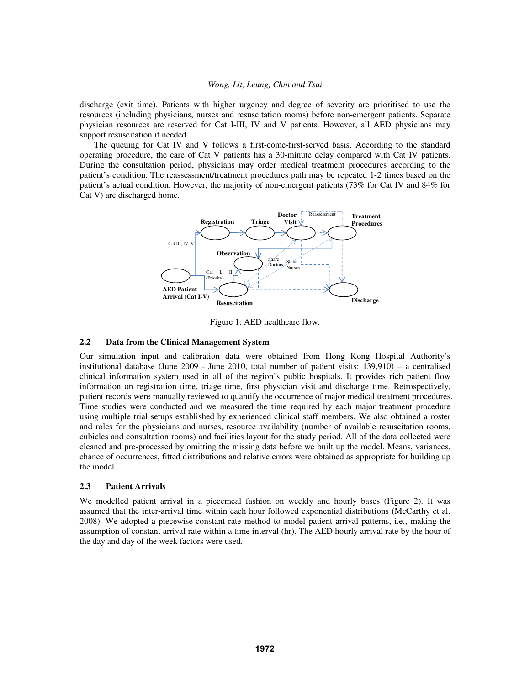discharge (exit time). Patients with higher urgency and degree of severity are prioritised to use the resources (including physicians, nurses and resuscitation rooms) before non-emergent patients. Separate physician resources are reserved for Cat I-III, IV and V patients. However, all AED physicians may support resuscitation if needed.

 The queuing for Cat IV and V follows a first-come-first-served basis. According to the standard operating procedure, the care of Cat V patients has a 30-minute delay compared with Cat IV patients. During the consultation period, physicians may order medical treatment procedures according to the patient's condition. The reassessment/treatment procedures path may be repeated 1-2 times based on the patient's actual condition. However, the majority of non-emergent patients (73% for Cat IV and 84% for Cat V) are discharged home.



Figure 1: AED healthcare flow.

#### **2.2 Data from the Clinical Management System**

Our simulation input and calibration data were obtained from Hong Kong Hospital Authority's institutional database (June 2009 - June 2010, total number of patient visits: 139,910) – a centralised clinical information system used in all of the region's public hospitals. It provides rich patient flow information on registration time, triage time, first physician visit and discharge time. Retrospectively, patient records were manually reviewed to quantify the occurrence of major medical treatment procedures. Time studies were conducted and we measured the time required by each major treatment procedure using multiple trial setups established by experienced clinical staff members. We also obtained a roster and roles for the physicians and nurses, resource availability (number of available resuscitation rooms, cubicles and consultation rooms) and facilities layout for the study period. All of the data collected were cleaned and pre-processed by omitting the missing data before we built up the model. Means, variances, chance of occurrences, fitted distributions and relative errors were obtained as appropriate for building up the model.

#### **2.3 Patient Arrivals**

We modelled patient arrival in a piecemeal fashion on weekly and hourly bases (Figure 2). It was assumed that the inter-arrival time within each hour followed exponential distributions (McCarthy et al. 2008). We adopted a piecewise-constant rate method to model patient arrival patterns, i.e., making the assumption of constant arrival rate within a time interval (hr). The AED hourly arrival rate by the hour of the day and day of the week factors were used.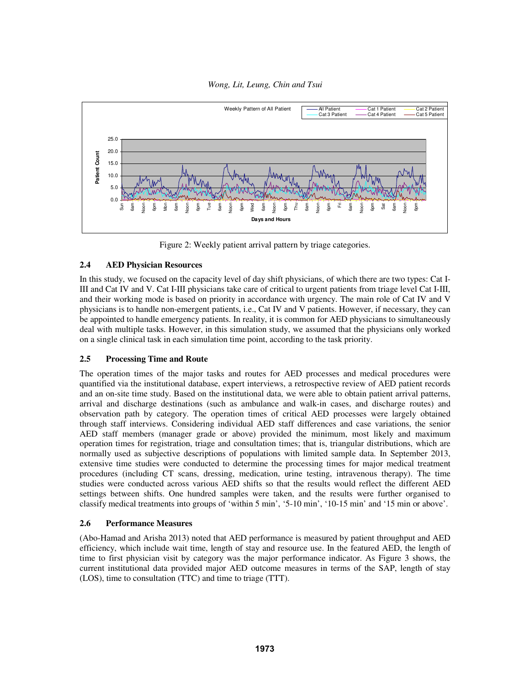*Wong, Lit, Leung, Chin and Tsui*



Figure 2: Weekly patient arrival pattern by triage categories.

# **2.4 AED Physician Resources**

In this study, we focused on the capacity level of day shift physicians, of which there are two types: Cat I-III and Cat IV and V. Cat I-III physicians take care of critical to urgent patients from triage level Cat I-III, and their working mode is based on priority in accordance with urgency. The main role of Cat IV and V physicians is to handle non-emergent patients, i.e., Cat IV and V patients. However, if necessary, they can be appointed to handle emergency patients. In reality, it is common for AED physicians to simultaneously deal with multiple tasks. However, in this simulation study, we assumed that the physicians only worked on a single clinical task in each simulation time point, according to the task priority.

# **2.5 Processing Time and Route**

The operation times of the major tasks and routes for AED processes and medical procedures were quantified via the institutional database, expert interviews, a retrospective review of AED patient records and an on-site time study. Based on the institutional data, we were able to obtain patient arrival patterns, arrival and discharge destinations (such as ambulance and walk-in cases, and discharge routes) and observation path by category. The operation times of critical AED processes were largely obtained through staff interviews. Considering individual AED staff differences and case variations, the senior AED staff members (manager grade or above) provided the minimum, most likely and maximum operation times for registration, triage and consultation times; that is, triangular distributions, which are normally used as subjective descriptions of populations with limited sample data. In September 2013, extensive time studies were conducted to determine the processing times for major medical treatment procedures (including CT scans, dressing, medication, urine testing, intravenous therapy). The time studies were conducted across various AED shifts so that the results would reflect the different AED settings between shifts. One hundred samples were taken, and the results were further organised to classify medical treatments into groups of 'within 5 min', '5-10 min', '10-15 min' and '15 min or above'.

# **2.6 Performance Measures**

(Abo-Hamad and Arisha 2013) noted that AED performance is measured by patient throughput and AED efficiency, which include wait time, length of stay and resource use. In the featured AED, the length of time to first physician visit by category was the major performance indicator. As Figure 3 shows, the current institutional data provided major AED outcome measures in terms of the SAP, length of stay (LOS), time to consultation (TTC) and time to triage (TTT).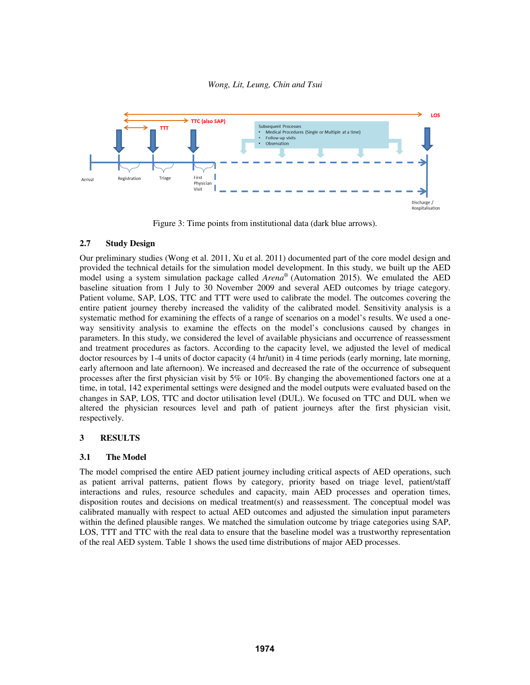

Figure 3: Time points from institutional data (dark blue arrows).

## **2.7 Study Design**

Our preliminary studies (Wong et al. 2011, Xu et al. 2011) documented part of the core model design and provided the technical details for the simulation model development. In this study, we built up the AED model using a system simulation package called *Arena®* (Automation 2015). We emulated the AED baseline situation from 1 July to 30 November 2009 and several AED outcomes by triage category. Patient volume, SAP, LOS, TTC and TTT were used to calibrate the model. The outcomes covering the entire patient journey thereby increased the validity of the calibrated model. Sensitivity analysis is a systematic method for examining the effects of a range of scenarios on a model's results. We used a oneway sensitivity analysis to examine the effects on the model's conclusions caused by changes in parameters. In this study, we considered the level of available physicians and occurrence of reassessment and treatment procedures as factors. According to the capacity level, we adjusted the level of medical doctor resources by 1-4 units of doctor capacity (4 hr/unit) in 4 time periods (early morning, late morning, early afternoon and late afternoon). We increased and decreased the rate of the occurrence of subsequent processes after the first physician visit by 5% or 10%. By changing the abovementioned factors one at a time, in total, 142 experimental settings were designed and the model outputs were evaluated based on the changes in SAP, LOS, TTC and doctor utilisation level (DUL). We focused on TTC and DUL when we altered the physician resources level and path of patient journeys after the first physician visit, respectively.

### **3 RESULTS**

#### **3.1 The Model**

The model comprised the entire AED patient journey including critical aspects of AED operations, such as patient arrival patterns, patient flows by category, priority based on triage level, patient/staff interactions and rules, resource schedules and capacity, main AED processes and operation times, disposition routes and decisions on medical treatment(s) and reassessment. The conceptual model was calibrated manually with respect to actual AED outcomes and adjusted the simulation input parameters within the defined plausible ranges. We matched the simulation outcome by triage categories using SAP, LOS, TTT and TTC with the real data to ensure that the baseline model was a trustworthy representation of the real AED system. Table 1 shows the used time distributions of major AED processes.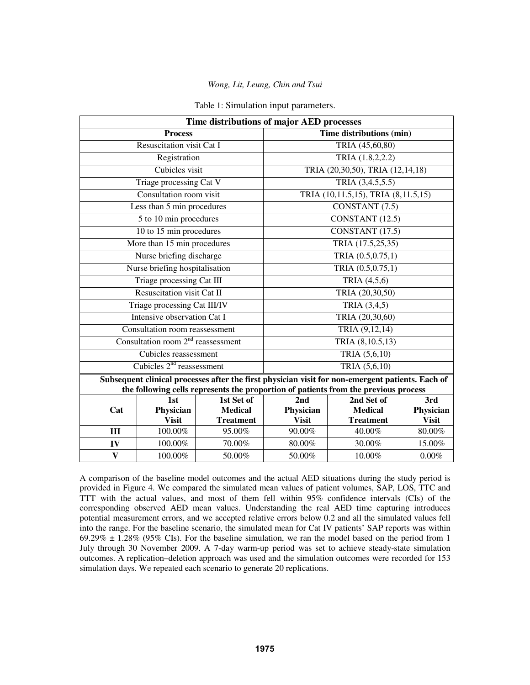| Time distributions of major AED processes                                                                                                                                               |              |                  |                                     |                  |              |
|-----------------------------------------------------------------------------------------------------------------------------------------------------------------------------------------|--------------|------------------|-------------------------------------|------------------|--------------|
| <b>Process</b>                                                                                                                                                                          |              |                  | Time distributions (min)            |                  |              |
| Resuscitation visit Cat I                                                                                                                                                               |              |                  | TRIA (45,60,80)                     |                  |              |
| Registration                                                                                                                                                                            |              |                  | TRIA (1.8,2,2.2)                    |                  |              |
| Cubicles visit                                                                                                                                                                          |              |                  | TRIA (20,30,50), TRIA (12,14,18)    |                  |              |
| Triage processing Cat V                                                                                                                                                                 |              |                  | TRIA (3,4.5,5.5)                    |                  |              |
| Consultation room visit                                                                                                                                                                 |              |                  | TRIA (10,11.5,15), TRIA (8,11.5,15) |                  |              |
| Less than 5 min procedures                                                                                                                                                              |              |                  | CONSTANT (7.5)                      |                  |              |
| 5 to 10 min procedures                                                                                                                                                                  |              |                  | $\overline{CONSTANT(12.5)}$         |                  |              |
| 10 to 15 min procedures                                                                                                                                                                 |              |                  | CONSTANT (17.5)                     |                  |              |
| More than 15 min procedures                                                                                                                                                             |              |                  | TRIA (17.5,25,35)                   |                  |              |
| Nurse briefing discharge                                                                                                                                                                |              |                  | TRIA $(0.5, 0.75, 1)$               |                  |              |
| Nurse briefing hospitalisation                                                                                                                                                          |              |                  | TRIA (0.5,0.75,1)                   |                  |              |
| Triage processing Cat III                                                                                                                                                               |              |                  | TRIA (4,5,6)                        |                  |              |
| Resuscitation visit Cat II                                                                                                                                                              |              |                  | TRIA (20,30,50)                     |                  |              |
| Triage processing Cat III/IV                                                                                                                                                            |              |                  | TRIA (3,4,5)                        |                  |              |
| Intensive observation Cat I                                                                                                                                                             |              |                  | TRIA (20,30,60)                     |                  |              |
| Consultation room reassessment                                                                                                                                                          |              |                  | TRIA (9,12,14)                      |                  |              |
| Consultation room $2nd$ reassessment                                                                                                                                                    |              |                  | TRIA (8,10.5,13)                    |                  |              |
| Cubicles reassessment                                                                                                                                                                   |              |                  | TRIA(5,6,10)                        |                  |              |
| Cubicles $2nd$ reassessment                                                                                                                                                             |              |                  | TRIA $(5,6,10)$                     |                  |              |
| Subsequent clinical processes after the first physician visit for non-emergent patients. Each of<br>the following cells represents the proportion of patients from the previous process |              |                  |                                     |                  |              |
|                                                                                                                                                                                         | 1st          | 1st Set of       | 2nd                                 | 2nd Set of       | 3rd          |
| Cat                                                                                                                                                                                     | Physician    | <b>Medical</b>   | Physician                           | <b>Medical</b>   | Physician    |
|                                                                                                                                                                                         | <b>Visit</b> | <b>Treatment</b> | <b>Visit</b>                        | <b>Treatment</b> | <b>Visit</b> |
| III                                                                                                                                                                                     | 100.00%      | 95.00%           | 90.00%                              | 40.00%           | 80.00%       |
| IV                                                                                                                                                                                      | 100.00%      | 70.00%           | 80.00%                              | 30.00%           | 15.00%       |
| $\mathbf{V}$                                                                                                                                                                            | 100.00%      | 50.00%           | 50.00%                              | 10.00%           | 0.00%        |

### Table 1: Simulation input parameters.

A comparison of the baseline model outcomes and the actual AED situations during the study period is provided in Figure 4. We compared the simulated mean values of patient volumes, SAP, LOS, TTC and TTT with the actual values, and most of them fell within 95% confidence intervals (CIs) of the corresponding observed AED mean values. Understanding the real AED time capturing introduces potential measurement errors, and we accepted relative errors below 0.2 and all the simulated values fell into the range. For the baseline scenario, the simulated mean for Cat IV patients' SAP reports was within 69.29%  $\pm$  1.28% (95% CIs). For the baseline simulation, we ran the model based on the period from 1 July through 30 November 2009. A 7-day warm-up period was set to achieve steady-state simulation outcomes. A replication–deletion approach was used and the simulation outcomes were recorded for 153 simulation days. We repeated each scenario to generate 20 replications.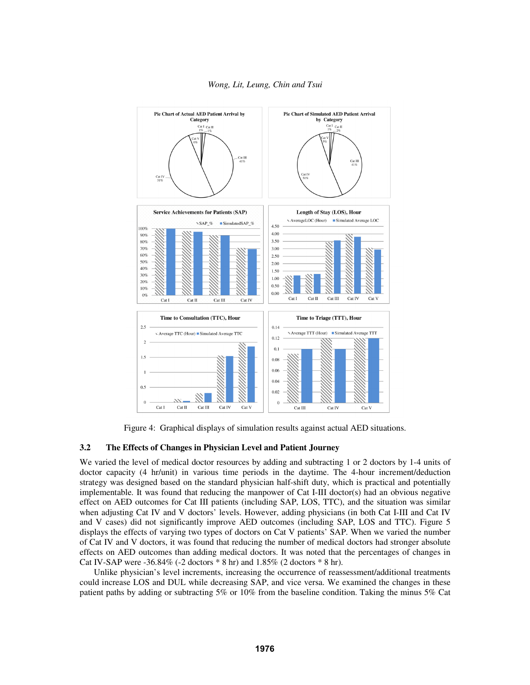

Figure 4: Graphical displays of simulation results against actual AED situations.

#### **3.2 The Effects of Changes in Physician Level and Patient Journey**

We varied the level of medical doctor resources by adding and subtracting 1 or 2 doctors by 1-4 units of doctor capacity (4 hr/unit) in various time periods in the daytime. The 4-hour increment/deduction strategy was designed based on the standard physician half-shift duty, which is practical and potentially implementable. It was found that reducing the manpower of Cat I-III doctor(s) had an obvious negative effect on AED outcomes for Cat III patients (including SAP, LOS, TTC), and the situation was similar when adjusting Cat IV and V doctors' levels. However, adding physicians (in both Cat I-III and Cat IV and V cases) did not significantly improve AED outcomes (including SAP, LOS and TTC). Figure 5 displays the effects of varying two types of doctors on Cat V patients' SAP. When we varied the number of Cat IV and V doctors, it was found that reducing the number of medical doctors had stronger absolute effects on AED outcomes than adding medical doctors. It was noted that the percentages of changes in Cat IV-SAP were -36.84% (-2 doctors \* 8 hr) and 1.85% (2 doctors \* 8 hr).

 Unlike physician's level increments, increasing the occurrence of reassessment/additional treatments could increase LOS and DUL while decreasing SAP, and vice versa. We examined the changes in these patient paths by adding or subtracting 5% or 10% from the baseline condition. Taking the minus 5% Cat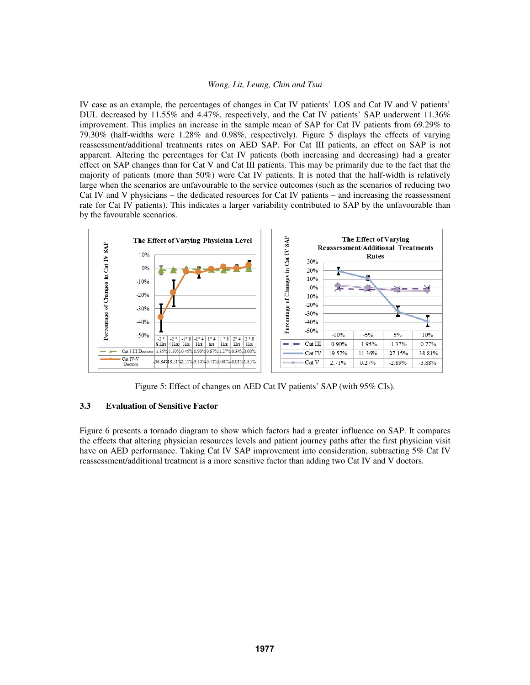IV case as an example, the percentages of changes in Cat IV patients' LOS and Cat IV and V patients' DUL decreased by 11.55% and 4.47%, respectively, and the Cat IV patients' SAP underwent 11.36% improvement. This implies an increase in the sample mean of SAP for Cat IV patients from 69.29% to 79.30% (half-widths were 1.28% and 0.98%, respectively). Figure 5 displays the effects of varying reassessment/additional treatments rates on AED SAP. For Cat III patients, an effect on SAP is not apparent. Altering the percentages for Cat IV patients (both increasing and decreasing) had a greater effect on SAP changes than for Cat V and Cat III patients. This may be primarily due to the fact that the majority of patients (more than 50%) were Cat IV patients. It is noted that the half-width is relatively large when the scenarios are unfavourable to the service outcomes (such as the scenarios of reducing two Cat IV and V physicians – the dedicated resources for Cat IV patients – and increasing the reassessment rate for Cat IV patients). This indicates a larger variability contributed to SAP by the unfavourable than by the favourable scenarios.



Figure 5: Effect of changes on AED Cat IV patients' SAP (with 95% CIs).

### **3.3 Evaluation of Sensitive Factor**

Figure 6 presents a tornado diagram to show which factors had a greater influence on SAP. It compares the effects that altering physician resources levels and patient journey paths after the first physician visit have on AED performance. Taking Cat IV SAP improvement into consideration, subtracting 5% Cat IV reassessment/additional treatment is a more sensitive factor than adding two Cat IV and V doctors.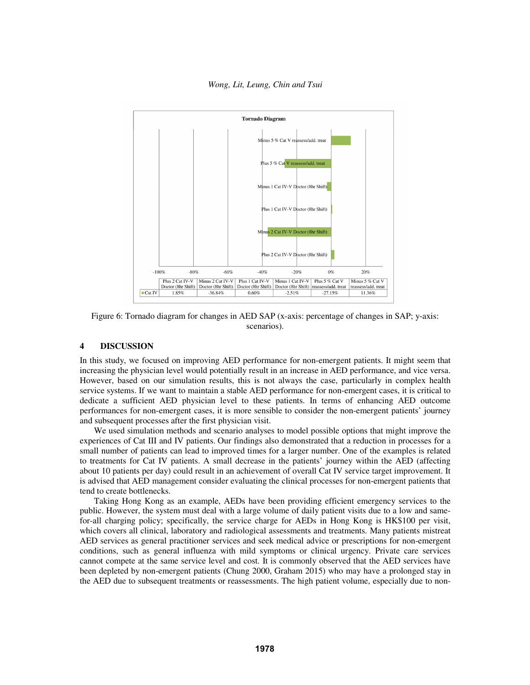*Wong, Lit, Leung, Chin and Tsui*



Figure 6: Tornado diagram for changes in AED SAP (x-axis: percentage of changes in SAP; y-axis: scenarios).

## **4 DISCUSSION**

In this study, we focused on improving AED performance for non-emergent patients. It might seem that increasing the physician level would potentially result in an increase in AED performance, and vice versa. However, based on our simulation results, this is not always the case, particularly in complex health service systems. If we want to maintain a stable AED performance for non-emergent cases, it is critical to dedicate a sufficient AED physician level to these patients. In terms of enhancing AED outcome performances for non-emergent cases, it is more sensible to consider the non-emergent patients' journey and subsequent processes after the first physician visit.

 We used simulation methods and scenario analyses to model possible options that might improve the experiences of Cat III and IV patients. Our findings also demonstrated that a reduction in processes for a small number of patients can lead to improved times for a larger number. One of the examples is related to treatments for Cat IV patients. A small decrease in the patients' journey within the AED (affecting about 10 patients per day) could result in an achievement of overall Cat IV service target improvement. It is advised that AED management consider evaluating the clinical processes for non-emergent patients that tend to create bottlenecks.

 Taking Hong Kong as an example, AEDs have been providing efficient emergency services to the public. However, the system must deal with a large volume of daily patient visits due to a low and samefor-all charging policy; specifically, the service charge for AEDs in Hong Kong is HK\$100 per visit, which covers all clinical, laboratory and radiological assessments and treatments. Many patients mistreat AED services as general practitioner services and seek medical advice or prescriptions for non-emergent conditions, such as general influenza with mild symptoms or clinical urgency. Private care services cannot compete at the same service level and cost. It is commonly observed that the AED services have been depleted by non-emergent patients (Chung 2000, Graham 2015) who may have a prolonged stay in the AED due to subsequent treatments or reassessments. The high patient volume, especially due to non-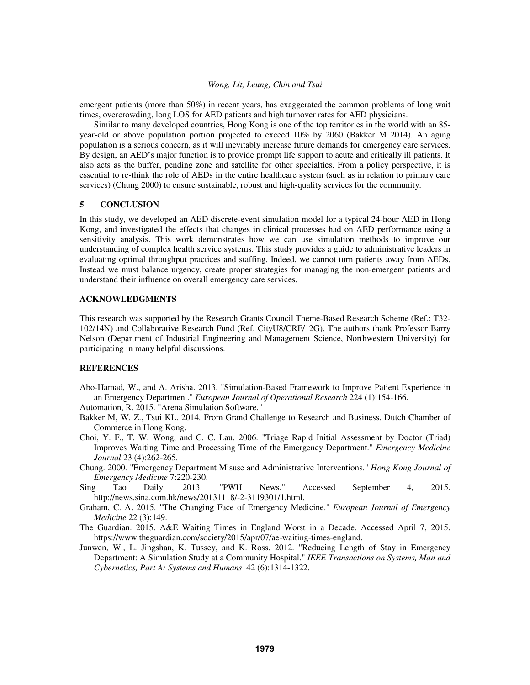emergent patients (more than 50%) in recent years, has exaggerated the common problems of long wait times, overcrowding, long LOS for AED patients and high turnover rates for AED physicians.

 Similar to many developed countries, Hong Kong is one of the top territories in the world with an 85 year-old or above population portion projected to exceed 10% by 2060 (Bakker M 2014). An aging population is a serious concern, as it will inevitably increase future demands for emergency care services. By design, an AED's major function is to provide prompt life support to acute and critically ill patients. It also acts as the buffer, pending zone and satellite for other specialties. From a policy perspective, it is essential to re-think the role of AEDs in the entire healthcare system (such as in relation to primary care services) (Chung 2000) to ensure sustainable, robust and high-quality services for the community.

## **5 CONCLUSION**

In this study, we developed an AED discrete-event simulation model for a typical 24-hour AED in Hong Kong, and investigated the effects that changes in clinical processes had on AED performance using a sensitivity analysis. This work demonstrates how we can use simulation methods to improve our understanding of complex health service systems. This study provides a guide to administrative leaders in evaluating optimal throughput practices and staffing. Indeed, we cannot turn patients away from AEDs. Instead we must balance urgency, create proper strategies for managing the non-emergent patients and understand their influence on overall emergency care services.

#### **ACKNOWLEDGMENTS**

This research was supported by the Research Grants Council Theme-Based Research Scheme (Ref.: T32- 102/14N) and Collaborative Research Fund (Ref. CityU8/CRF/12G). The authors thank Professor Barry Nelson (Department of Industrial Engineering and Management Science, Northwestern University) for participating in many helpful discussions.

## **REFERENCES**

Abo-Hamad, W., and A. Arisha. 2013. "Simulation-Based Framework to Improve Patient Experience in an Emergency Department." *European Journal of Operational Research* 224 (1):154-166.

Automation, R. 2015. "Arena Simulation Software."

- Bakker M, W. Z., Tsui KL. 2014. From Grand Challenge to Research and Business. Dutch Chamber of Commerce in Hong Kong.
- Choi, Y. F., T. W. Wong, and C. C. Lau. 2006. "Triage Rapid Initial Assessment by Doctor (Triad) Improves Waiting Time and Processing Time of the Emergency Department." *Emergency Medicine Journal* 23 (4):262-265.
- Chung. 2000. "Emergency Department Misuse and Administrative Interventions." *Hong Kong Journal of Emergency Medicine* 7:220-230.
- Sing Tao Daily. 2013. "PWH News." Accessed September 4, 2015. http://news.sina.com.hk/news/20131118/-2-3119301/1.html.
- Graham, C. A. 2015. "The Changing Face of Emergency Medicine." *European Journal of Emergency Medicine* 22 (3):149.
- The Guardian. 2015. A&E Waiting Times in England Worst in a Decade. Accessed April 7, 2015. https://www.theguardian.com/society/2015/apr/07/ae-waiting-times-england.
- Junwen, W., L. Jingshan, K. Tussey, and K. Ross. 2012. "Reducing Length of Stay in Emergency Department: A Simulation Study at a Community Hospital." *IEEE Transactions on Systems, Man and Cybernetics, Part A: Systems and Humans* 42 (6):1314-1322.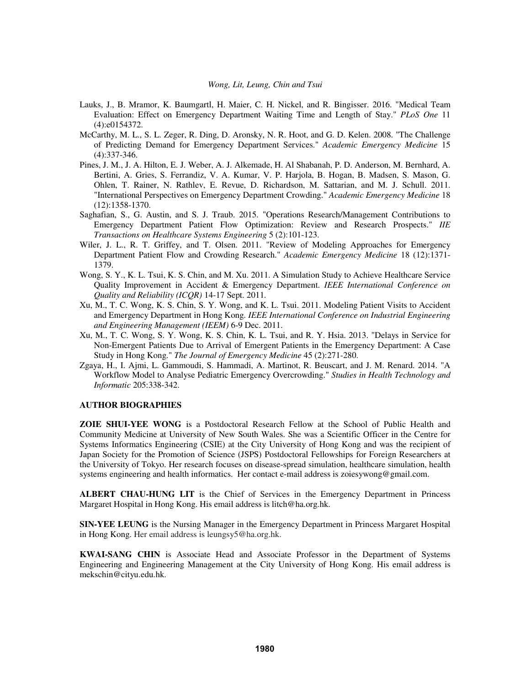- Lauks, J., B. Mramor, K. Baumgartl, H. Maier, C. H. Nickel, and R. Bingisser. 2016. "Medical Team Evaluation: Effect on Emergency Department Waiting Time and Length of Stay." *PLoS One* 11 (4):e0154372.
- McCarthy, M. L., S. L. Zeger, R. Ding, D. Aronsky, N. R. Hoot, and G. D. Kelen. 2008. "The Challenge of Predicting Demand for Emergency Department Services." *Academic Emergency Medicine* 15 (4):337-346.
- Pines, J. M., J. A. Hilton, E. J. Weber, A. J. Alkemade, H. Al Shabanah, P. D. Anderson, M. Bernhard, A. Bertini, A. Gries, S. Ferrandiz, V. A. Kumar, V. P. Harjola, B. Hogan, B. Madsen, S. Mason, G. Ohlen, T. Rainer, N. Rathlev, E. Revue, D. Richardson, M. Sattarian, and M. J. Schull. 2011. "International Perspectives on Emergency Department Crowding." *Academic Emergency Medicine* 18 (12):1358-1370.
- Saghafian, S., G. Austin, and S. J. Traub. 2015. "Operations Research/Management Contributions to Emergency Department Patient Flow Optimization: Review and Research Prospects." *IIE Transactions on Healthcare Systems Engineering* 5 (2):101-123.
- Wiler, J. L., R. T. Griffey, and T. Olsen. 2011. "Review of Modeling Approaches for Emergency Department Patient Flow and Crowding Research." *Academic Emergency Medicine* 18 (12):1371- 1379.
- Wong, S. Y., K. L. Tsui, K. S. Chin, and M. Xu. 2011. A Simulation Study to Achieve Healthcare Service Quality Improvement in Accident & Emergency Department. *IEEE International Conference on Quality and Reliability (ICQR)* 14-17 Sept. 2011.
- Xu, M., T. C. Wong, K. S. Chin, S. Y. Wong, and K. L. Tsui. 2011. Modeling Patient Visits to Accident and Emergency Department in Hong Kong. *IEEE International Conference on Industrial Engineering and Engineering Management (IEEM)* 6-9 Dec. 2011.
- Xu, M., T. C. Wong, S. Y. Wong, K. S. Chin, K. L. Tsui, and R. Y. Hsia. 2013. "Delays in Service for Non-Emergent Patients Due to Arrival of Emergent Patients in the Emergency Department: A Case Study in Hong Kong." *The Journal of Emergency Medicine* 45 (2):271-280.
- Zgaya, H., I. Ajmi, L. Gammoudi, S. Hammadi, A. Martinot, R. Beuscart, and J. M. Renard. 2014. "A Workflow Model to Analyse Pediatric Emergency Overcrowding." *Studies in Health Technology and Informatic* 205:338-342.

### **AUTHOR BIOGRAPHIES**

**ZOIE SHUI-YEE WONG** is a Postdoctoral Research Fellow at the School of Public Health and Community Medicine at University of New South Wales. She was a Scientific Officer in the Centre for Systems Informatics Engineering (CSIE) at the City University of Hong Kong and was the recipient of Japan Society for the Promotion of Science (JSPS) Postdoctoral Fellowships for Foreign Researchers at the University of Tokyo. Her research focuses on disease-spread simulation, healthcare simulation, health systems engineering and health informatics. Her contact e-mail address is zoiesywong@gmail.com.

**ALBERT CHAU-HUNG LIT** is the Chief of Services in the Emergency Department in Princess Margaret Hospital in Hong Kong. His email address is litch@ha.org.hk.

**SIN-YEE LEUNG** is the Nursing Manager in the Emergency Department in Princess Margaret Hospital in Hong Kong. Her email address is leungsy5@ha.org.hk.

**KWAI-SANG CHIN** is Associate Head and Associate Professor in the Department of Systems Engineering and Engineering Management at the City University of Hong Kong. His email address is mekschin@cityu.edu.hk.